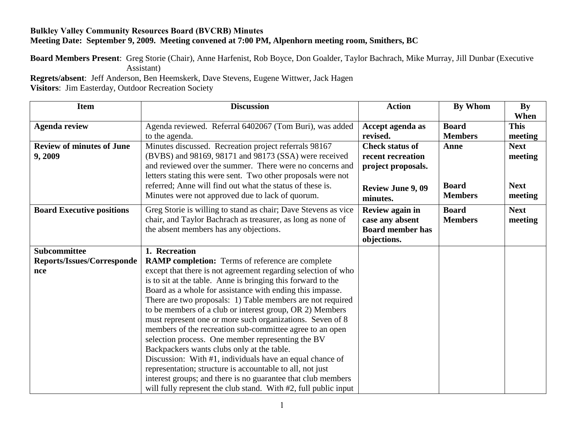## **Bulkley Valley Community Resources Board (BVCRB) Minutes Meeting Date: September 9, 2009. Meeting convened at 7:00 PM, Alpenhorn meeting room, Smithers, BC**

**Board Members Present**: Greg Storie (Chair), Anne Harfenist, Rob Boyce, Don Goalder, Taylor Bachrach, Mike Murray, Jill Dunbar (Executive Assistant)

**Regrets/absent**: Jeff Anderson, Ben Heemskerk, Dave Stevens, Eugene Wittwer, Jack Hagen

**Visitors**: Jim Easterday, Outdoor Recreation Society

| <b>Item</b>                      | <b>Discussion</b>                                               | <b>Action</b>            | By Whom        | <b>By</b>   |
|----------------------------------|-----------------------------------------------------------------|--------------------------|----------------|-------------|
|                                  |                                                                 |                          |                | When        |
| <b>Agenda review</b>             | Agenda reviewed. Referral 6402067 (Tom Buri), was added         | Accept agenda as         | <b>Board</b>   | <b>This</b> |
|                                  | to the agenda.                                                  | revised.                 | <b>Members</b> | meeting     |
| <b>Review of minutes of June</b> | Minutes discussed. Recreation project referrals 98167           | <b>Check status of</b>   | Anne           | <b>Next</b> |
| 9,2009                           | (BVBS) and 98169, 98171 and 98173 (SSA) were received           | recent recreation        |                | meeting     |
|                                  | and reviewed over the summer. There were no concerns and        | project proposals.       |                |             |
|                                  | letters stating this were sent. Two other proposals were not    |                          |                |             |
|                                  | referred; Anne will find out what the status of these is.       | <b>Review June 9, 09</b> | <b>Board</b>   | <b>Next</b> |
|                                  | Minutes were not approved due to lack of quorum.                | minutes.                 | <b>Members</b> | meeting     |
| <b>Board Executive positions</b> | Greg Storie is willing to stand as chair; Dave Stevens as vice  | Review again in          | <b>Board</b>   | <b>Next</b> |
|                                  | chair, and Taylor Bachrach as treasurer, as long as none of     | case any absent          | <b>Members</b> | meeting     |
|                                  | the absent members has any objections.                          | <b>Board member has</b>  |                |             |
|                                  |                                                                 | objections.              |                |             |
| Subcommittee                     | 1. Recreation                                                   |                          |                |             |
| Reports/Issues/Corresponde       | <b>RAMP completion:</b> Terms of reference are complete         |                          |                |             |
| nce                              | except that there is not agreement regarding selection of who   |                          |                |             |
|                                  | is to sit at the table. Anne is bringing this forward to the    |                          |                |             |
|                                  | Board as a whole for assistance with ending this impasse.       |                          |                |             |
|                                  | There are two proposals: 1) Table members are not required      |                          |                |             |
|                                  | to be members of a club or interest group, OR 2) Members        |                          |                |             |
|                                  | must represent one or more such organizations. Seven of 8       |                          |                |             |
|                                  | members of the recreation sub-committee agree to an open        |                          |                |             |
|                                  | selection process. One member representing the BV               |                          |                |             |
|                                  | Backpackers wants clubs only at the table.                      |                          |                |             |
|                                  | Discussion: With #1, individuals have an equal chance of        |                          |                |             |
|                                  | representation; structure is accountable to all, not just       |                          |                |             |
|                                  | interest groups; and there is no guarantee that club members    |                          |                |             |
|                                  | will fully represent the club stand. With #2, full public input |                          |                |             |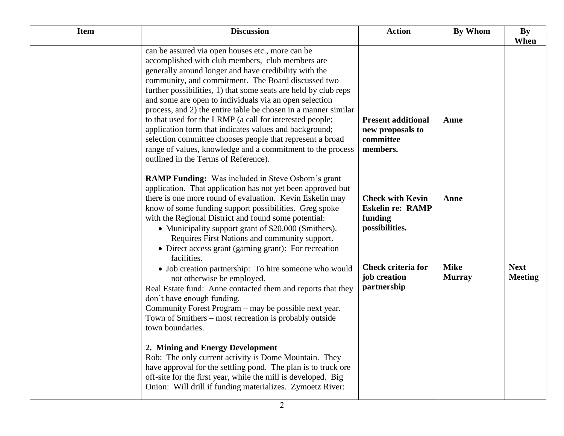| <b>Item</b> | <b>Discussion</b>                                                                                                                                                                                                                                                                                                                                                                                                                                                                                                                                                                                                                                                                                           | <b>Action</b>                                                                   | <b>By Whom</b>               | By<br>When                    |
|-------------|-------------------------------------------------------------------------------------------------------------------------------------------------------------------------------------------------------------------------------------------------------------------------------------------------------------------------------------------------------------------------------------------------------------------------------------------------------------------------------------------------------------------------------------------------------------------------------------------------------------------------------------------------------------------------------------------------------------|---------------------------------------------------------------------------------|------------------------------|-------------------------------|
|             | can be assured via open houses etc., more can be<br>accomplished with club members, club members are<br>generally around longer and have credibility with the<br>community, and commitment. The Board discussed two<br>further possibilities, 1) that some seats are held by club reps<br>and some are open to individuals via an open selection<br>process, and 2) the entire table be chosen in a manner similar<br>to that used for the LRMP (a call for interested people;<br>application form that indicates values and background;<br>selection committee chooses people that represent a broad<br>range of values, knowledge and a commitment to the process<br>outlined in the Terms of Reference). | <b>Present additional</b><br>new proposals to<br>committee<br>members.          | Anne                         |                               |
|             | <b>RAMP Funding:</b> Was included in Steve Osborn's grant<br>application. That application has not yet been approved but<br>there is one more round of evaluation. Kevin Eskelin may<br>know of some funding support possibilities. Greg spoke<br>with the Regional District and found some potential:<br>• Municipality support grant of \$20,000 (Smithers).<br>Requires First Nations and community support.<br>• Direct access grant (gaming grant): For recreation<br>facilities.                                                                                                                                                                                                                      | <b>Check with Kevin</b><br><b>Eskelin re: RAMP</b><br>funding<br>possibilities. | Anne                         |                               |
|             | • Job creation partnership: To hire someone who would<br>not otherwise be employed.<br>Real Estate fund: Anne contacted them and reports that they<br>don't have enough funding.<br>Community Forest Program – may be possible next year.<br>Town of Smithers – most recreation is probably outside<br>town boundaries.                                                                                                                                                                                                                                                                                                                                                                                     | <b>Check criteria for</b><br>job creation<br>partnership                        | <b>Mike</b><br><b>Murray</b> | <b>Next</b><br><b>Meeting</b> |
|             | 2. Mining and Energy Development<br>Rob: The only current activity is Dome Mountain. They<br>have approval for the settling pond. The plan is to truck ore<br>off-site for the first year, while the mill is developed. Big<br>Onion: Will drill if funding materializes. Zymoetz River:                                                                                                                                                                                                                                                                                                                                                                                                                    |                                                                                 |                              |                               |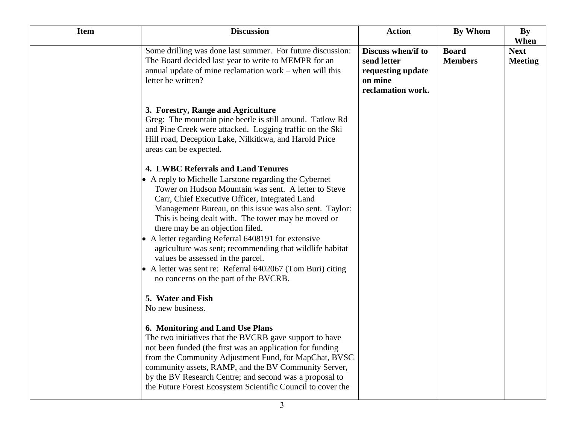| <b>Item</b> | <b>Discussion</b>                                                                                                                                                                                                                                                                                                                                                                                                                                                                                                                                                                                                      | <b>Action</b>                                                                          | By Whom                        | By<br>When                    |
|-------------|------------------------------------------------------------------------------------------------------------------------------------------------------------------------------------------------------------------------------------------------------------------------------------------------------------------------------------------------------------------------------------------------------------------------------------------------------------------------------------------------------------------------------------------------------------------------------------------------------------------------|----------------------------------------------------------------------------------------|--------------------------------|-------------------------------|
|             | Some drilling was done last summer. For future discussion:<br>The Board decided last year to write to MEMPR for an<br>annual update of mine reclamation work – when will this<br>letter be written?                                                                                                                                                                                                                                                                                                                                                                                                                    | Discuss when/if to<br>send letter<br>requesting update<br>on mine<br>reclamation work. | <b>Board</b><br><b>Members</b> | <b>Next</b><br><b>Meeting</b> |
|             | 3. Forestry, Range and Agriculture<br>Greg: The mountain pine beetle is still around. Tatlow Rd<br>and Pine Creek were attacked. Logging traffic on the Ski<br>Hill road, Deception Lake, Nilkitkwa, and Harold Price<br>areas can be expected.                                                                                                                                                                                                                                                                                                                                                                        |                                                                                        |                                |                               |
|             | 4. LWBC Referrals and Land Tenures<br>• A reply to Michelle Larstone regarding the Cybernet<br>Tower on Hudson Mountain was sent. A letter to Steve<br>Carr, Chief Executive Officer, Integrated Land<br>Management Bureau, on this issue was also sent. Taylor:<br>This is being dealt with. The tower may be moved or<br>there may be an objection filed.<br>A letter regarding Referral 6408191 for extensive<br>agriculture was sent; recommending that wildlife habitat<br>values be assessed in the parcel.<br>A letter was sent re: Referral 6402067 (Tom Buri) citing<br>no concerns on the part of the BVCRB. |                                                                                        |                                |                               |
|             | 5. Water and Fish<br>No new business.                                                                                                                                                                                                                                                                                                                                                                                                                                                                                                                                                                                  |                                                                                        |                                |                               |
|             | 6. Monitoring and Land Use Plans<br>The two initiatives that the BVCRB gave support to have<br>not been funded (the first was an application for funding<br>from the Community Adjustment Fund, for MapChat, BVSC<br>community assets, RAMP, and the BV Community Server,<br>by the BV Research Centre; and second was a proposal to<br>the Future Forest Ecosystem Scientific Council to cover the                                                                                                                                                                                                                    |                                                                                        |                                |                               |